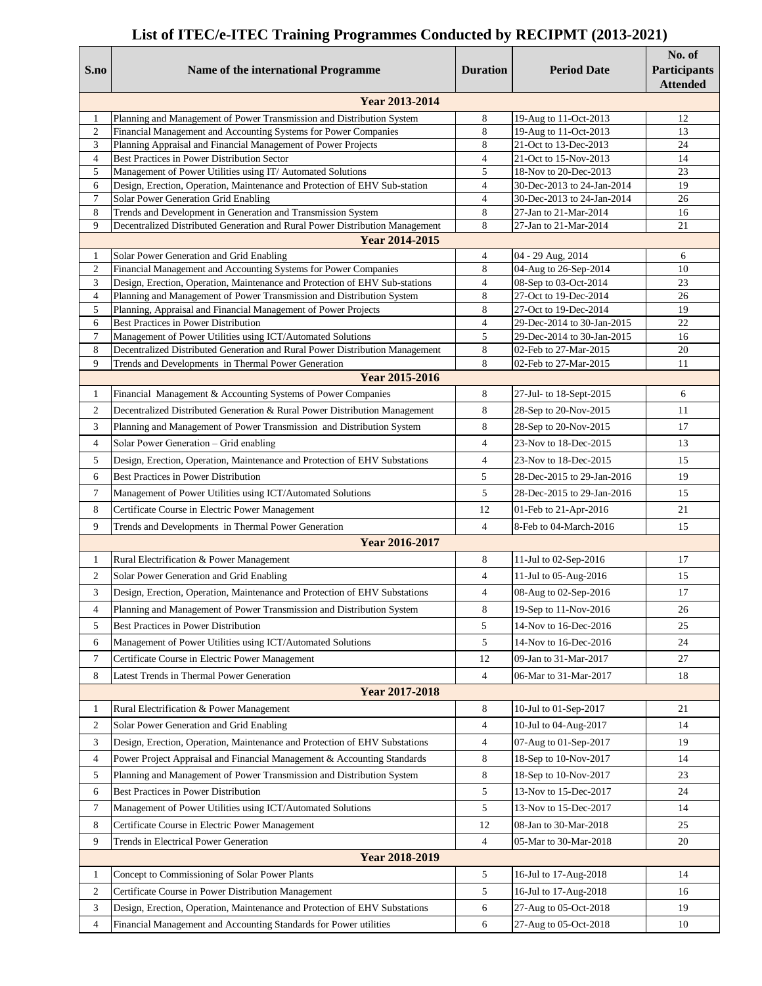## **List of ITEC/e-ITEC Training Programmes Conducted by RECIPMT (2013-2021)**

| S.no                  | Name of the international Programme                                                                                                                  | <b>Duration</b>     | <b>Period Date</b>                             | No. of<br>Participants<br><b>Attended</b> |  |  |  |
|-----------------------|------------------------------------------------------------------------------------------------------------------------------------------------------|---------------------|------------------------------------------------|-------------------------------------------|--|--|--|
| Year 2013-2014        |                                                                                                                                                      |                     |                                                |                                           |  |  |  |
| 1                     | Planning and Management of Power Transmission and Distribution System                                                                                | 8                   | 19-Aug to 11-Oct-2013                          | 12                                        |  |  |  |
| $\overline{2}$        | Financial Management and Accounting Systems for Power Companies                                                                                      | $\,$ 8 $\,$         | 19-Aug to 11-Oct-2013                          | 13                                        |  |  |  |
| 3                     | Planning Appraisal and Financial Management of Power Projects                                                                                        | 8                   | 21-Oct to 13-Dec-2013                          | 24                                        |  |  |  |
| $\overline{4}$        | Best Practices in Power Distribution Sector<br>Management of Power Utilities using IT/ Automated Solutions                                           | $\overline{4}$<br>5 | 21-Oct to 15-Nov-2013<br>18-Nov to 20-Dec-2013 | 14                                        |  |  |  |
| 5<br>6                | Design, Erection, Operation, Maintenance and Protection of EHV Sub-station                                                                           | $\overline{4}$      | 30-Dec-2013 to 24-Jan-2014                     | 23<br>19                                  |  |  |  |
| $\boldsymbol{7}$      | Solar Power Generation Grid Enabling                                                                                                                 | $\overline{4}$      | 30-Dec-2013 to 24-Jan-2014                     | 26                                        |  |  |  |
| 8                     | Trends and Development in Generation and Transmission System                                                                                         | 8                   | 27-Jan to 21-Mar-2014                          | 16                                        |  |  |  |
| 9                     | Decentralized Distributed Generation and Rural Power Distribution Management                                                                         | 8                   | 27-Jan to 21-Mar-2014                          | 21                                        |  |  |  |
| Year 2014-2015        |                                                                                                                                                      |                     |                                                |                                           |  |  |  |
| $\mathbf{1}$          | Solar Power Generation and Grid Enabling                                                                                                             | $\overline{4}$      | 04 - 29 Aug, 2014                              | 6                                         |  |  |  |
| $\boldsymbol{2}$      | Financial Management and Accounting Systems for Power Companies                                                                                      | 8                   | 04-Aug to 26-Sep-2014                          | 10                                        |  |  |  |
| 3<br>$\overline{4}$   | Design, Erection, Operation, Maintenance and Protection of EHV Sub-stations<br>Planning and Management of Power Transmission and Distribution System | $\overline{4}$<br>8 | 08-Sep to 03-Oct-2014<br>27-Oct to 19-Dec-2014 | 23<br>26                                  |  |  |  |
| 5                     | Planning, Appraisal and Financial Management of Power Projects                                                                                       | 8                   | 27-Oct to 19-Dec-2014                          | 19                                        |  |  |  |
| 6                     | Best Practices in Power Distribution                                                                                                                 | $\overline{4}$      | 29-Dec-2014 to 30-Jan-2015                     | $22\,$                                    |  |  |  |
| $\tau$                | Management of Power Utilities using ICT/Automated Solutions                                                                                          | 5                   | 29-Dec-2014 to 30-Jan-2015                     | 16                                        |  |  |  |
| 8                     | Decentralized Distributed Generation and Rural Power Distribution Management                                                                         | $\,$ 8 $\,$         | 02-Feb to 27-Mar-2015                          | 20                                        |  |  |  |
| 9                     | Trends and Developments in Thermal Power Generation                                                                                                  | 8                   | 02-Feb to 27-Mar-2015                          | 11                                        |  |  |  |
|                       | <b>Year 2015-2016</b>                                                                                                                                |                     |                                                |                                           |  |  |  |
| 1                     | Financial Management & Accounting Systems of Power Companies                                                                                         | 8                   | 27-Jul- to 18-Sept-2015                        | 6                                         |  |  |  |
| $\mathfrak{2}$        | Decentralized Distributed Generation & Rural Power Distribution Management                                                                           | 8                   | 28-Sep to 20-Nov-2015                          | 11                                        |  |  |  |
| 3                     | Planning and Management of Power Transmission and Distribution System                                                                                | 8                   | 28-Sep to 20-Nov-2015                          | 17                                        |  |  |  |
| $\overline{4}$        | Solar Power Generation - Grid enabling                                                                                                               | $\overline{4}$      | 23-Nov to 18-Dec-2015                          | 13                                        |  |  |  |
| 5                     | Design, Erection, Operation, Maintenance and Protection of EHV Substations                                                                           | $\overline{4}$      | 23-Nov to 18-Dec-2015                          | 15                                        |  |  |  |
| 6                     | Best Practices in Power Distribution                                                                                                                 | 5                   | 28-Dec-2015 to 29-Jan-2016                     | 19                                        |  |  |  |
| $\tau$                | Management of Power Utilities using ICT/Automated Solutions                                                                                          | 5                   | 28-Dec-2015 to 29-Jan-2016                     | 15                                        |  |  |  |
| 8                     | Certificate Course in Electric Power Management                                                                                                      | 12                  | 01-Feb to 21-Apr-2016                          | 21                                        |  |  |  |
| 9                     | Trends and Developments in Thermal Power Generation                                                                                                  | $\overline{4}$      | 8-Feb to 04-March-2016                         | 15                                        |  |  |  |
| <b>Year 2016-2017</b> |                                                                                                                                                      |                     |                                                |                                           |  |  |  |
| 1                     | Rural Electrification & Power Management                                                                                                             | 8                   | 11-Jul to 02-Sep-2016                          | 17                                        |  |  |  |
| 2                     | Solar Power Generation and Grid Enabling                                                                                                             | $\overline{4}$      | 11-Jul to 05-Aug-2016                          | 15                                        |  |  |  |
| 3                     | Design, Erection, Operation, Maintenance and Protection of EHV Substations                                                                           | $\overline{4}$      | 08-Aug to 02-Sep-2016                          | 17                                        |  |  |  |
| 4                     | Planning and Management of Power Transmission and Distribution System                                                                                | 8                   | 19-Sep to 11-Nov-2016                          | 26                                        |  |  |  |
| 5                     | Best Practices in Power Distribution                                                                                                                 | 5                   | 14-Nov to 16-Dec-2016                          | 25                                        |  |  |  |
| 6                     | Management of Power Utilities using ICT/Automated Solutions                                                                                          | 5                   | 14-Nov to 16-Dec-2016                          | 24                                        |  |  |  |
| 7                     | Certificate Course in Electric Power Management                                                                                                      | 12                  | 09-Jan to 31-Mar-2017                          | 27                                        |  |  |  |
| 8                     |                                                                                                                                                      | $\overline{4}$      |                                                |                                           |  |  |  |
|                       | Latest Trends in Thermal Power Generation<br><b>Year 2017-2018</b>                                                                                   |                     | 06-Mar to 31-Mar-2017                          | 18                                        |  |  |  |
|                       |                                                                                                                                                      |                     |                                                |                                           |  |  |  |
| 1                     | Rural Electrification & Power Management                                                                                                             | 8                   | 10-Jul to 01-Sep-2017                          | 21                                        |  |  |  |
| $\overline{c}$        | Solar Power Generation and Grid Enabling                                                                                                             | 4                   | 10-Jul to 04-Aug-2017                          | 14                                        |  |  |  |
| 3                     | Design, Erection, Operation, Maintenance and Protection of EHV Substations                                                                           | 4                   | 07-Aug to 01-Sep-2017                          | 19                                        |  |  |  |
| 4                     | Power Project Appraisal and Financial Management & Accounting Standards                                                                              | 8                   | 18-Sep to 10-Nov-2017                          | 14                                        |  |  |  |
| 5                     | Planning and Management of Power Transmission and Distribution System                                                                                | 8                   | 18-Sep to 10-Nov-2017                          | 23                                        |  |  |  |
| 6                     | Best Practices in Power Distribution                                                                                                                 | 5                   | 13-Nov to 15-Dec-2017                          | 24                                        |  |  |  |
| 7                     | Management of Power Utilities using ICT/Automated Solutions                                                                                          | 5                   | 13-Nov to 15-Dec-2017                          | 14                                        |  |  |  |
| 8                     | Certificate Course in Electric Power Management                                                                                                      | 12                  | 08-Jan to 30-Mar-2018                          | 25                                        |  |  |  |
| 9                     | Trends in Electrical Power Generation                                                                                                                | 4                   | 05-Mar to 30-Mar-2018                          | 20                                        |  |  |  |
| Year 2018-2019        |                                                                                                                                                      |                     |                                                |                                           |  |  |  |
| $\mathbf{1}$          | Concept to Commissioning of Solar Power Plants                                                                                                       | 5                   | 16-Jul to 17-Aug-2018                          | 14                                        |  |  |  |
| $\overline{2}$        | Certificate Course in Power Distribution Management                                                                                                  | 5                   | 16-Jul to 17-Aug-2018                          | 16                                        |  |  |  |
| 3                     | Design, Erection, Operation, Maintenance and Protection of EHV Substations                                                                           | 6                   | 27-Aug to 05-Oct-2018                          | 19                                        |  |  |  |
| 4                     | Financial Management and Accounting Standards for Power utilities                                                                                    | 6                   | 27-Aug to 05-Oct-2018                          | 10                                        |  |  |  |
|                       |                                                                                                                                                      |                     |                                                |                                           |  |  |  |